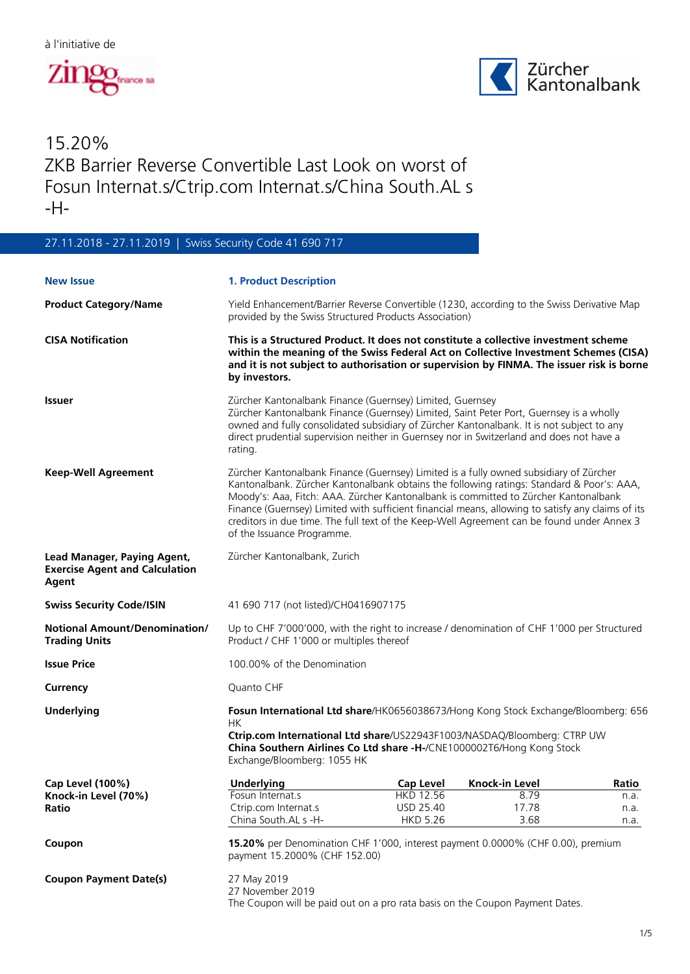



## 15.20% ZKB Barrier Reverse Convertible Last Look on worst of Fosun Internat.s/Ctrip.com Internat.s/China South.AL s -H-

## 27.11.2018 - 27.11.2019 | Swiss Security Code 41 690 717

| <b>New Issue</b>                                                              | <b>1. Product Description</b>                                                                                                                                                                                                                                                                                                                                                                                                                                                                               |                               |                          |              |  |
|-------------------------------------------------------------------------------|-------------------------------------------------------------------------------------------------------------------------------------------------------------------------------------------------------------------------------------------------------------------------------------------------------------------------------------------------------------------------------------------------------------------------------------------------------------------------------------------------------------|-------------------------------|--------------------------|--------------|--|
| <b>Product Category/Name</b>                                                  | Yield Enhancement/Barrier Reverse Convertible (1230, according to the Swiss Derivative Map<br>provided by the Swiss Structured Products Association)                                                                                                                                                                                                                                                                                                                                                        |                               |                          |              |  |
| <b>CISA Notification</b>                                                      | This is a Structured Product. It does not constitute a collective investment scheme<br>within the meaning of the Swiss Federal Act on Collective Investment Schemes (CISA)<br>and it is not subject to authorisation or supervision by FINMA. The issuer risk is borne<br>by investors.                                                                                                                                                                                                                     |                               |                          |              |  |
| Issuer                                                                        | Zürcher Kantonalbank Finance (Guernsey) Limited, Guernsey<br>Zürcher Kantonalbank Finance (Guernsey) Limited, Saint Peter Port, Guernsey is a wholly<br>owned and fully consolidated subsidiary of Zürcher Kantonalbank. It is not subject to any<br>direct prudential supervision neither in Guernsey nor in Switzerland and does not have a<br>rating.                                                                                                                                                    |                               |                          |              |  |
| <b>Keep-Well Agreement</b>                                                    | Zürcher Kantonalbank Finance (Guernsey) Limited is a fully owned subsidiary of Zürcher<br>Kantonalbank. Zürcher Kantonalbank obtains the following ratings: Standard & Poor's: AAA,<br>Moody's: Aaa, Fitch: AAA. Zürcher Kantonalbank is committed to Zürcher Kantonalbank<br>Finance (Guernsey) Limited with sufficient financial means, allowing to satisfy any claims of its<br>creditors in due time. The full text of the Keep-Well Agreement can be found under Annex 3<br>of the Issuance Programme. |                               |                          |              |  |
| Lead Manager, Paying Agent,<br><b>Exercise Agent and Calculation</b><br>Agent | Zürcher Kantonalbank, Zurich                                                                                                                                                                                                                                                                                                                                                                                                                                                                                |                               |                          |              |  |
| <b>Swiss Security Code/ISIN</b>                                               | 41 690 717 (not listed)/CH0416907175                                                                                                                                                                                                                                                                                                                                                                                                                                                                        |                               |                          |              |  |
| <b>Notional Amount/Denomination/</b><br><b>Trading Units</b>                  | Up to CHF 7'000'000, with the right to increase / denomination of CHF 1'000 per Structured<br>Product / CHF 1'000 or multiples thereof                                                                                                                                                                                                                                                                                                                                                                      |                               |                          |              |  |
| <b>Issue Price</b>                                                            | 100,00% of the Denomination                                                                                                                                                                                                                                                                                                                                                                                                                                                                                 |                               |                          |              |  |
| Currency                                                                      | Quanto CHF                                                                                                                                                                                                                                                                                                                                                                                                                                                                                                  |                               |                          |              |  |
| <b>Underlying</b>                                                             | Fosun International Ltd share/HK0656038673/Hong Kong Stock Exchange/Bloomberg: 656<br>НK<br>Ctrip.com International Ltd share/US22943F1003/NASDAQ/Bloomberg: CTRP UW<br>China Southern Airlines Co Ltd share -H-/CNE1000002T6/Hong Kong Stock<br>Exchange/Bloomberg: 1055 HK                                                                                                                                                                                                                                |                               |                          |              |  |
| Cap Level (100%)                                                              | <b>Underlying</b>                                                                                                                                                                                                                                                                                                                                                                                                                                                                                           |                               | Cap Level Knock-in Level | Ratio        |  |
| Knock-in Level (70%)<br>Ratio                                                 | Fosun Internat.s<br>Ctrip.com Internat.s                                                                                                                                                                                                                                                                                                                                                                                                                                                                    | <b>HKD 12.56</b><br>USD 25.40 | 8.79<br>17.78            | n.a.<br>n.a. |  |
|                                                                               | China South.AL s -H-                                                                                                                                                                                                                                                                                                                                                                                                                                                                                        | <b>HKD 5.26</b>               | 3.68                     | n.a.         |  |
| Coupon                                                                        | 15.20% per Denomination CHF 1'000, interest payment 0.0000% (CHF 0.00), premium<br>payment 15.2000% (CHF 152.00)                                                                                                                                                                                                                                                                                                                                                                                            |                               |                          |              |  |
| <b>Coupon Payment Date(s)</b>                                                 | 27 May 2019<br>27 November 2019<br>The Coupon will be paid out on a pro rata basis on the Coupon Payment Dates.                                                                                                                                                                                                                                                                                                                                                                                             |                               |                          |              |  |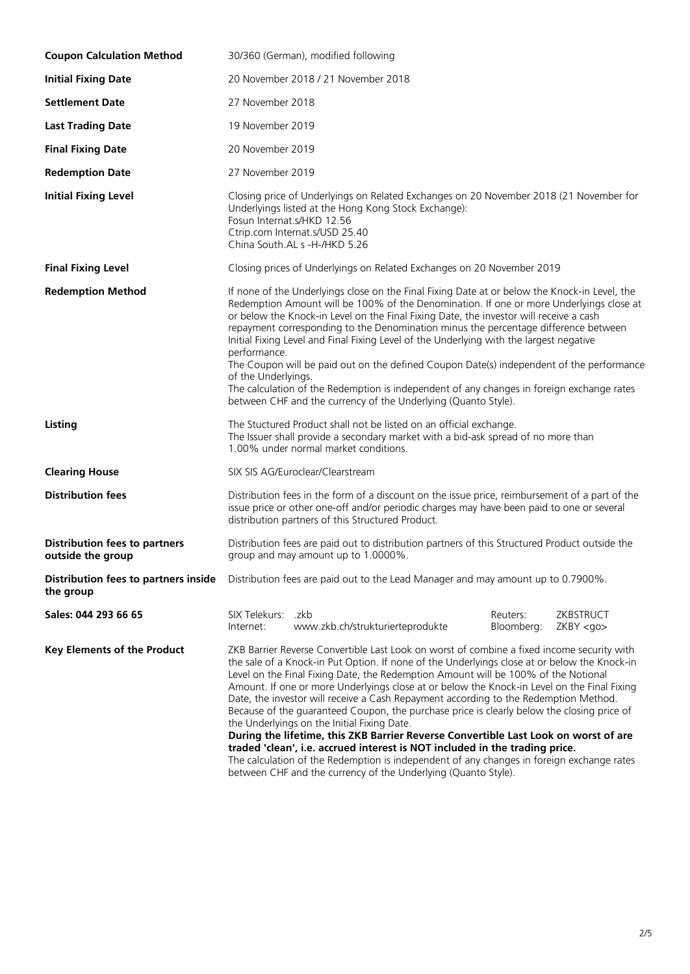| <b>Coupon Calculation Method</b>                          | 30/360 (German), modified following                                                                                                                                                                                                                                                                                                                                                                                                                                                                                                                                                                                                                                                                                                                                                                                                                                                                                                                       |  |  |  |
|-----------------------------------------------------------|-----------------------------------------------------------------------------------------------------------------------------------------------------------------------------------------------------------------------------------------------------------------------------------------------------------------------------------------------------------------------------------------------------------------------------------------------------------------------------------------------------------------------------------------------------------------------------------------------------------------------------------------------------------------------------------------------------------------------------------------------------------------------------------------------------------------------------------------------------------------------------------------------------------------------------------------------------------|--|--|--|
| <b>Initial Fixing Date</b>                                | 20 November 2018 / 21 November 2018                                                                                                                                                                                                                                                                                                                                                                                                                                                                                                                                                                                                                                                                                                                                                                                                                                                                                                                       |  |  |  |
| <b>Settlement Date</b>                                    | 27 November 2018                                                                                                                                                                                                                                                                                                                                                                                                                                                                                                                                                                                                                                                                                                                                                                                                                                                                                                                                          |  |  |  |
| <b>Last Trading Date</b>                                  | 19 November 2019                                                                                                                                                                                                                                                                                                                                                                                                                                                                                                                                                                                                                                                                                                                                                                                                                                                                                                                                          |  |  |  |
| <b>Final Fixing Date</b>                                  | 20 November 2019                                                                                                                                                                                                                                                                                                                                                                                                                                                                                                                                                                                                                                                                                                                                                                                                                                                                                                                                          |  |  |  |
| <b>Redemption Date</b>                                    | 27 November 2019                                                                                                                                                                                                                                                                                                                                                                                                                                                                                                                                                                                                                                                                                                                                                                                                                                                                                                                                          |  |  |  |
| <b>Initial Fixing Level</b>                               | Closing price of Underlyings on Related Exchanges on 20 November 2018 (21 November for<br>Underlyings listed at the Hong Kong Stock Exchange):<br>Fosun Internat.s/HKD 12.56<br>Ctrip.com Internat.s/USD 25.40<br>China South AL s -H-/HKD 5.26                                                                                                                                                                                                                                                                                                                                                                                                                                                                                                                                                                                                                                                                                                           |  |  |  |
| <b>Final Fixing Level</b>                                 | Closing prices of Underlyings on Related Exchanges on 20 November 2019                                                                                                                                                                                                                                                                                                                                                                                                                                                                                                                                                                                                                                                                                                                                                                                                                                                                                    |  |  |  |
| <b>Redemption Method</b>                                  | If none of the Underlyings close on the Final Fixing Date at or below the Knock-in Level, the<br>Redemption Amount will be 100% of the Denomination. If one or more Underlyings close at<br>or below the Knock-in Level on the Final Fixing Date, the investor will receive a cash<br>repayment corresponding to the Denomination minus the percentage difference between<br>Initial Fixing Level and Final Fixing Level of the Underlying with the largest negative<br>performance.<br>The Coupon will be paid out on the defined Coupon Date(s) independent of the performance<br>of the Underlyings.<br>The calculation of the Redemption is independent of any changes in foreign exchange rates<br>between CHF and the currency of the Underlying (Quanto Style).                                                                                                                                                                                    |  |  |  |
| Listing                                                   | The Stuctured Product shall not be listed on an official exchange.<br>The Issuer shall provide a secondary market with a bid-ask spread of no more than<br>1.00% under normal market conditions.                                                                                                                                                                                                                                                                                                                                                                                                                                                                                                                                                                                                                                                                                                                                                          |  |  |  |
| <b>Clearing House</b>                                     | SIX SIS AG/Euroclear/Clearstream                                                                                                                                                                                                                                                                                                                                                                                                                                                                                                                                                                                                                                                                                                                                                                                                                                                                                                                          |  |  |  |
| <b>Distribution fees</b>                                  | Distribution fees in the form of a discount on the issue price, reimbursement of a part of the<br>issue price or other one-off and/or periodic charges may have been paid to one or several<br>distribution partners of this Structured Product.                                                                                                                                                                                                                                                                                                                                                                                                                                                                                                                                                                                                                                                                                                          |  |  |  |
| <b>Distribution fees to partners</b><br>outside the group | Distribution fees are paid out to distribution partners of this Structured Product outside the<br>group and may amount up to 1.0000%.                                                                                                                                                                                                                                                                                                                                                                                                                                                                                                                                                                                                                                                                                                                                                                                                                     |  |  |  |
| Distribution fees to partners inside<br>the group         | Distribution fees are paid out to the Lead Manager and may amount up to 0.7900%.                                                                                                                                                                                                                                                                                                                                                                                                                                                                                                                                                                                                                                                                                                                                                                                                                                                                          |  |  |  |
| Sales: 044 293 66 65                                      | SIX Telekurs: .zkb<br>Reuters:<br>ZKBSTRUCT<br>www.zkb.ch/strukturierteprodukte<br>Bloomberg:<br>Internet:<br>ZKBY <sub>QO</sub>                                                                                                                                                                                                                                                                                                                                                                                                                                                                                                                                                                                                                                                                                                                                                                                                                          |  |  |  |
| <b>Key Elements of the Product</b>                        | ZKB Barrier Reverse Convertible Last Look on worst of combine a fixed income security with<br>the sale of a Knock-in Put Option. If none of the Underlyings close at or below the Knock-in<br>Level on the Final Fixing Date, the Redemption Amount will be 100% of the Notional<br>Amount. If one or more Underlyings close at or below the Knock-in Level on the Final Fixing<br>Date, the investor will receive a Cash Repayment according to the Redemption Method.<br>Because of the guaranteed Coupon, the purchase price is clearly below the closing price of<br>the Underlyings on the Initial Fixing Date.<br>During the lifetime, this ZKB Barrier Reverse Convertible Last Look on worst of are<br>traded 'clean', i.e. accrued interest is NOT included in the trading price.<br>The calculation of the Redemption is independent of any changes in foreign exchange rates<br>between CHF and the currency of the Underlying (Quanto Style). |  |  |  |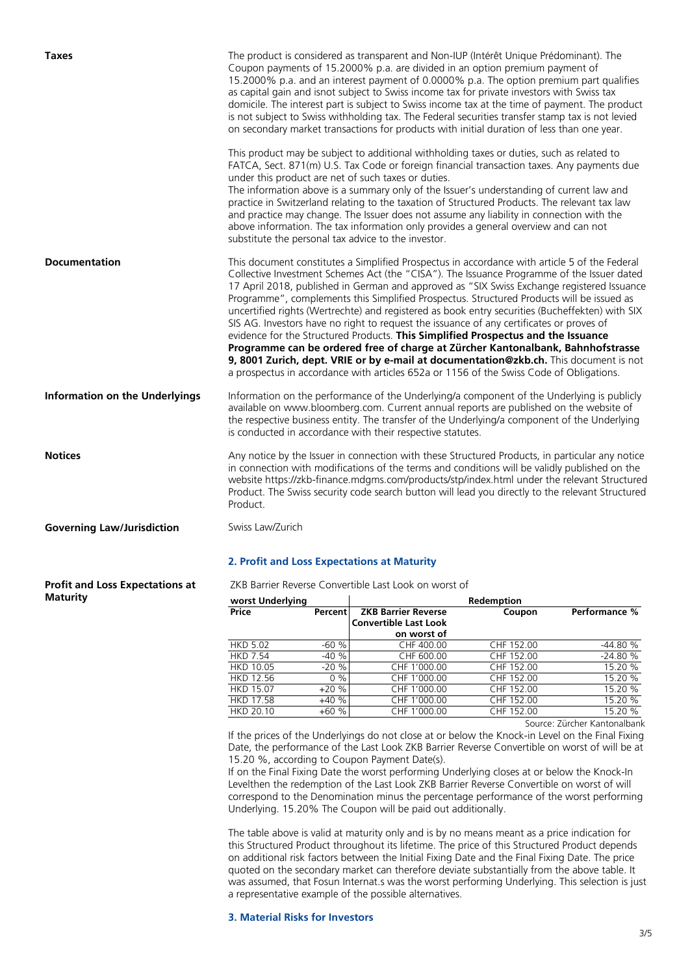| <b>Taxes</b>                           | The product is considered as transparent and Non-IUP (Intérêt Unique Prédominant). The<br>Coupon payments of 15.2000% p.a. are divided in an option premium payment of<br>15.2000% p.a. and an interest payment of 0.0000% p.a. The option premium part qualifies<br>as capital gain and isnot subject to Swiss income tax for private investors with Swiss tax<br>domicile. The interest part is subject to Swiss income tax at the time of payment. The product<br>is not subject to Swiss withholding tax. The Federal securities transfer stamp tax is not levied<br>on secondary market transactions for products with initial duration of less than one year.                                                                                                                                                                                                                                                                               |
|----------------------------------------|---------------------------------------------------------------------------------------------------------------------------------------------------------------------------------------------------------------------------------------------------------------------------------------------------------------------------------------------------------------------------------------------------------------------------------------------------------------------------------------------------------------------------------------------------------------------------------------------------------------------------------------------------------------------------------------------------------------------------------------------------------------------------------------------------------------------------------------------------------------------------------------------------------------------------------------------------|
|                                        | This product may be subject to additional withholding taxes or duties, such as related to<br>FATCA, Sect. 871(m) U.S. Tax Code or foreign financial transaction taxes. Any payments due<br>under this product are net of such taxes or duties.<br>The information above is a summary only of the Issuer's understanding of current law and<br>practice in Switzerland relating to the taxation of Structured Products. The relevant tax law<br>and practice may change. The Issuer does not assume any liability in connection with the<br>above information. The tax information only provides a general overview and can not<br>substitute the personal tax advice to the investor.                                                                                                                                                                                                                                                             |
| <b>Documentation</b>                   | This document constitutes a Simplified Prospectus in accordance with article 5 of the Federal<br>Collective Investment Schemes Act (the "CISA"). The Issuance Programme of the Issuer dated<br>17 April 2018, published in German and approved as "SIX Swiss Exchange registered Issuance<br>Programme", complements this Simplified Prospectus. Structured Products will be issued as<br>uncertified rights (Wertrechte) and registered as book entry securities (Bucheffekten) with SIX<br>SIS AG. Investors have no right to request the issuance of any certificates or proves of<br>evidence for the Structured Products. This Simplified Prospectus and the Issuance<br>Programme can be ordered free of charge at Zürcher Kantonalbank, Bahnhofstrasse<br>9, 8001 Zurich, dept. VRIE or by e-mail at documentation@zkb.ch. This document is not<br>a prospectus in accordance with articles 652a or 1156 of the Swiss Code of Obligations. |
| <b>Information on the Underlyings</b>  | Information on the performance of the Underlying/a component of the Underlying is publicly<br>available on www.bloomberg.com. Current annual reports are published on the website of<br>the respective business entity. The transfer of the Underlying/a component of the Underlying<br>is conducted in accordance with their respective statutes.                                                                                                                                                                                                                                                                                                                                                                                                                                                                                                                                                                                                |
| <b>Notices</b>                         | Any notice by the Issuer in connection with these Structured Products, in particular any notice<br>in connection with modifications of the terms and conditions will be validly published on the<br>website https://zkb-finance.mdgms.com/products/stp/index.html under the relevant Structured<br>Product. The Swiss security code search button will lead you directly to the relevant Structured<br>Product.                                                                                                                                                                                                                                                                                                                                                                                                                                                                                                                                   |
| <b>Governing Law/Jurisdiction</b>      | Swiss Law/Zurich                                                                                                                                                                                                                                                                                                                                                                                                                                                                                                                                                                                                                                                                                                                                                                                                                                                                                                                                  |
|                                        | 2. Profit and Loss Expectations at Maturity                                                                                                                                                                                                                                                                                                                                                                                                                                                                                                                                                                                                                                                                                                                                                                                                                                                                                                       |
| <b>Profit and Loss Expectations at</b> | ZKB Barrier Reverse Convertible Last Look on worst of                                                                                                                                                                                                                                                                                                                                                                                                                                                                                                                                                                                                                                                                                                                                                                                                                                                                                             |

**Maturity**

| worst Underlying |                |                              | Redemption |               |
|------------------|----------------|------------------------------|------------|---------------|
| Price            | <b>Percent</b> | <b>ZKB Barrier Reverse</b>   | Coupon     | Performance % |
|                  |                | <b>Convertible Last Look</b> |            |               |
|                  |                | on worst of                  |            |               |
| <b>HKD 5.02</b>  | $-60%$         | CHF 400.00                   | CHF 152.00 | $-44.80%$     |
| <b>HKD 7.54</b>  | $-40%$         | CHF 600.00                   | CHF 152.00 | $-24.80%$     |
| <b>HKD 10.05</b> | $-20%$         | CHF 1'000.00                 | CHF 152.00 | 15.20 %       |
| <b>HKD 12.56</b> | $0\%$          | CHF 1'000.00                 | CHF 152.00 | 15.20 %       |
| <b>HKD 15.07</b> | $+20%$         | CHF 1'000.00                 | CHF 152.00 | 15.20 %       |
| <b>HKD 17.58</b> | $+40%$         | CHF 1'000.00                 | CHF 152.00 | 15.20 %       |
| <b>HKD 20.10</b> | $+60%$         | CHF 1'000.00                 | CHF 152.00 | 15.20 %       |

Source: Zürcher Kantonalbank

If the prices of the Underlyings do not close at or below the Knock-in Level on the Final Fixing Date, the performance of the Last Look ZKB Barrier Reverse Convertible on worst of will be at 15.20 %, according to Coupon Payment Date(s).

If on the Final Fixing Date the worst performing Underlying closes at or below the Knock-In Levelthen the redemption of the Last Look ZKB Barrier Reverse Convertible on worst of will correspond to the Denomination minus the percentage performance of the worst performing Underlying. 15.20% The Coupon will be paid out additionally.

The table above is valid at maturity only and is by no means meant as a price indication for this Structured Product throughout its lifetime. The price of this Structured Product depends on additional risk factors between the Initial Fixing Date and the Final Fixing Date. The price quoted on the secondary market can therefore deviate substantially from the above table. It was assumed, that Fosun Internat.s was the worst performing Underlying. This selection is just a representative example of the possible alternatives.

## **3. Material Risks for Investors**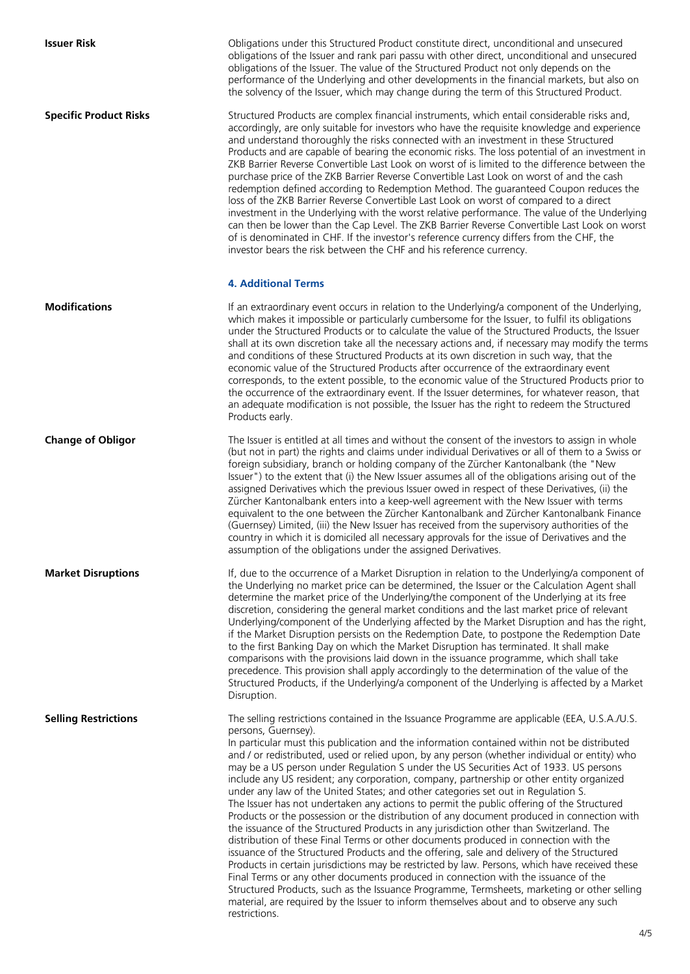**Issuer Risk Issuer Risk Obligations** under this Structured Product constitute direct, unconditional and unsecured obligations of the Issuer and rank pari passu with other direct, unconditional and unsecured obligations of the Issuer. The value of the Structured Product not only depends on the performance of the Underlying and other developments in the financial markets, but also on the solvency of the Issuer, which may change during the term of this Structured Product.

**Specific Product Risks** Structured Products are complex financial instruments, which entail considerable risks and, accordingly, are only suitable for investors who have the requisite knowledge and experience and understand thoroughly the risks connected with an investment in these Structured Products and are capable of bearing the economic risks. The loss potential of an investment in ZKB Barrier Reverse Convertible Last Look on worst of is limited to the difference between the purchase price of the ZKB Barrier Reverse Convertible Last Look on worst of and the cash redemption defined according to Redemption Method. The guaranteed Coupon reduces the loss of the ZKB Barrier Reverse Convertible Last Look on worst of compared to a direct investment in the Underlying with the worst relative performance. The value of the Underlying can then be lower than the Cap Level. The ZKB Barrier Reverse Convertible Last Look on worst of is denominated in CHF. If the investor's reference currency differs from the CHF, the investor bears the risk between the CHF and his reference currency.

## **4. Additional Terms**

**Modifications If an extraordinary event occurs in relation to the Underlying/a component of the Underlying,** which makes it impossible or particularly cumbersome for the Issuer, to fulfil its obligations under the Structured Products or to calculate the value of the Structured Products, the Issuer shall at its own discretion take all the necessary actions and, if necessary may modify the terms and conditions of these Structured Products at its own discretion in such way, that the economic value of the Structured Products after occurrence of the extraordinary event corresponds, to the extent possible, to the economic value of the Structured Products prior to the occurrence of the extraordinary event. If the Issuer determines, for whatever reason, that an adequate modification is not possible, the Issuer has the right to redeem the Structured Products early.

**Change of Obligor** The Issuer is entitled at all times and without the consent of the investors to assign in whole (but not in part) the rights and claims under individual Derivatives or all of them to a Swiss or foreign subsidiary, branch or holding company of the Zürcher Kantonalbank (the "New Issuer") to the extent that (i) the New Issuer assumes all of the obligations arising out of the assigned Derivatives which the previous Issuer owed in respect of these Derivatives, (ii) the Zürcher Kantonalbank enters into a keep-well agreement with the New Issuer with terms equivalent to the one between the Zürcher Kantonalbank and Zürcher Kantonalbank Finance (Guernsey) Limited, (iii) the New Issuer has received from the supervisory authorities of the country in which it is domiciled all necessary approvals for the issue of Derivatives and the assumption of the obligations under the assigned Derivatives.

**Market Disruptions** If, due to the occurrence of a Market Disruption in relation to the Underlying/a component of the Underlying no market price can be determined, the Issuer or the Calculation Agent shall determine the market price of the Underlying/the component of the Underlying at its free discretion, considering the general market conditions and the last market price of relevant Underlying/component of the Underlying affected by the Market Disruption and has the right, if the Market Disruption persists on the Redemption Date, to postpone the Redemption Date to the first Banking Day on which the Market Disruption has terminated. It shall make comparisons with the provisions laid down in the issuance programme, which shall take precedence. This provision shall apply accordingly to the determination of the value of the Structured Products, if the Underlying/a component of the Underlying is affected by a Market Disruption.

**Selling Restrictions** The selling restrictions contained in the Issuance Programme are applicable (EEA, U.S.A./U.S. persons, Guernsey).

In particular must this publication and the information contained within not be distributed and / or redistributed, used or relied upon, by any person (whether individual or entity) who may be a US person under Regulation S under the US Securities Act of 1933. US persons include any US resident; any corporation, company, partnership or other entity organized under any law of the United States; and other categories set out in Regulation S. The Issuer has not undertaken any actions to permit the public offering of the Structured Products or the possession or the distribution of any document produced in connection with the issuance of the Structured Products in any jurisdiction other than Switzerland. The distribution of these Final Terms or other documents produced in connection with the issuance of the Structured Products and the offering, sale and delivery of the Structured Products in certain jurisdictions may be restricted by law. Persons, which have received these Final Terms or any other documents produced in connection with the issuance of the Structured Products, such as the Issuance Programme, Termsheets, marketing or other selling material, are required by the Issuer to inform themselves about and to observe any such restrictions.